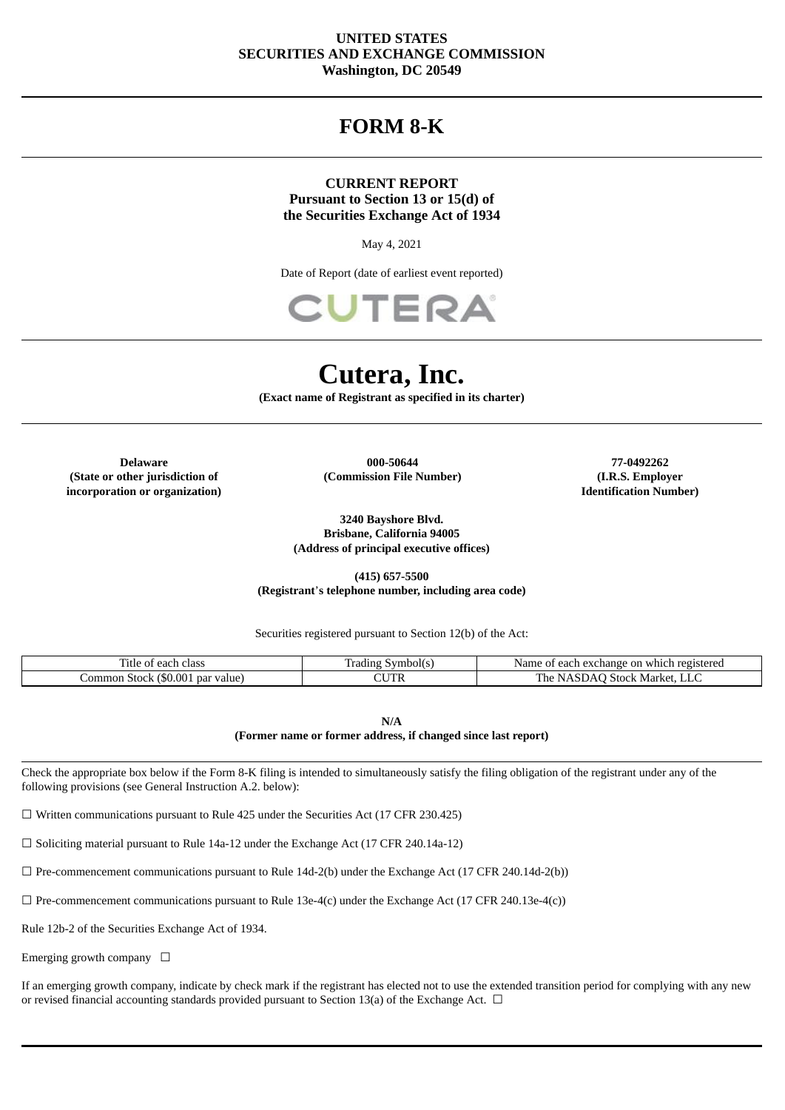## **UNITED STATES SECURITIES AND EXCHANGE COMMISSION Washington, DC 20549**

## **FORM 8-K**

## **CURRENT REPORT Pursuant to Section 13 or 15(d) of the Securities Exchange Act of 1934**

May 4, 2021

Date of Report (date of earliest event reported)



# **Cutera, Inc.**

**(Exact name of Registrant as specified in its charter)**

**(State or other jurisdiction of incorporation or organization)**

**Delaware 000-50644 77-0492262 (Commission File Number) (I.R.S. Employer**

**Identification Number)**

**3240 Bayshore Blvd. Brisbane, California 94005 (Address of principal executive offices)**

**(415) 657-5500 (Registrant**'**s telephone number, including area code)**

Securities registered pursuant to Section 12(b) of the Act:

| $-$<br>fitle<br>class<br>each<br>u                       | rradıng<br>symbol(s                | ≏h registered<br>Name<br>each<br>⊦exchange on<br>whic |
|----------------------------------------------------------|------------------------------------|-------------------------------------------------------|
| (\$0.00)<br>$\sim$ $\sim$<br>par value)<br>ommon<br>5100 | $\sim$ $\sim$ $\sim$<br>1 K<br>___ | —<br>Marke*<br>stoc<br>$\sim$                         |

**N/A**

**(Former name or former address, if changed since last report)**

Check the appropriate box below if the Form 8-K filing is intended to simultaneously satisfy the filing obligation of the registrant under any of the following provisions (see General Instruction A.2. below):

☐ Written communications pursuant to Rule 425 under the Securities Act (17 CFR 230.425)

☐ Soliciting material pursuant to Rule 14a-12 under the Exchange Act (17 CFR 240.14a-12)

 $\Box$  Pre-commencement communications pursuant to Rule 14d-2(b) under the Exchange Act (17 CFR 240.14d-2(b))

 $\Box$  Pre-commencement communications pursuant to Rule 13e-4(c) under the Exchange Act (17 CFR 240.13e-4(c))

Rule 12b-2 of the Securities Exchange Act of 1934.

Emerging growth company  $\Box$ 

If an emerging growth company, indicate by check mark if the registrant has elected not to use the extended transition period for complying with any new or revised financial accounting standards provided pursuant to Section 13(a) of the Exchange Act.  $\Box$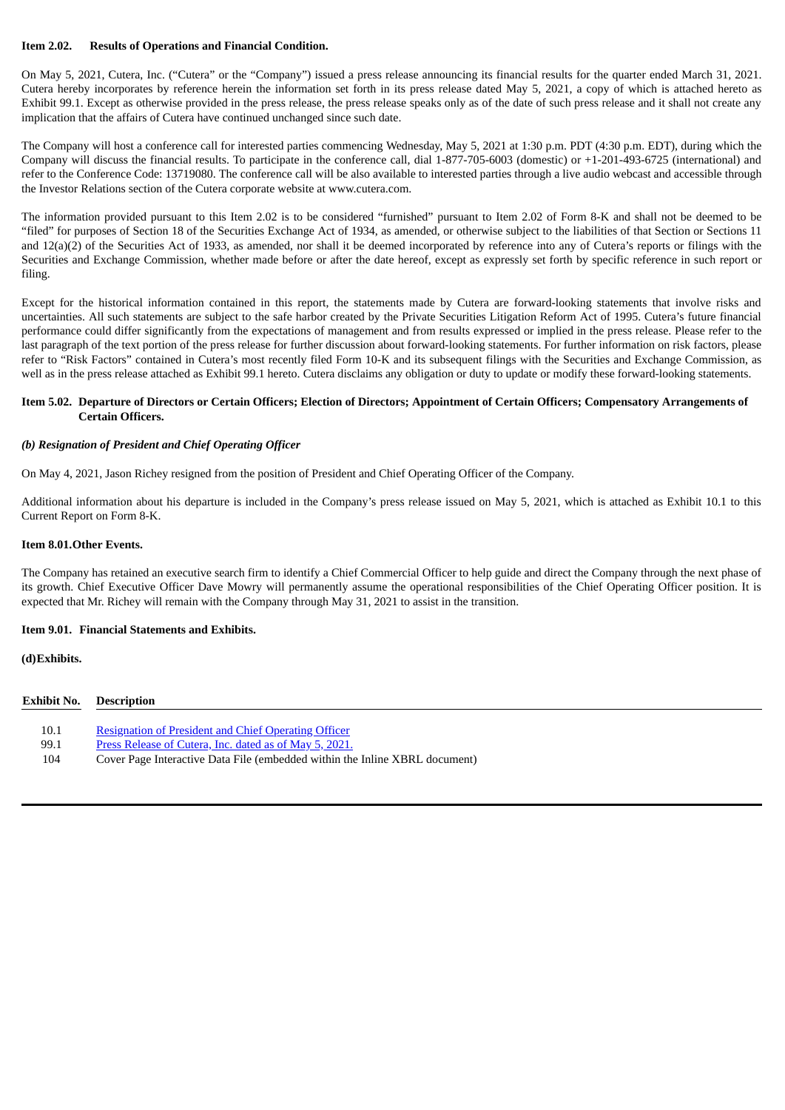## **Item 2.02. Results of Operations and Financial Condition.**

On May 5, 2021, Cutera, Inc. ("Cutera" or the "Company") issued a press release announcing its financial results for the quarter ended March 31, 2021. Cutera hereby incorporates by reference herein the information set forth in its press release dated May 5, 2021, a copy of which is attached hereto as Exhibit 99.1. Except as otherwise provided in the press release, the press release speaks only as of the date of such press release and it shall not create any implication that the affairs of Cutera have continued unchanged since such date.

The Company will host a conference call for interested parties commencing Wednesday, May 5, 2021 at 1:30 p.m. PDT (4:30 p.m. EDT), during which the Company will discuss the financial results. To participate in the conference call, dial 1-877-705-6003 (domestic) or +1-201-493-6725 (international) and refer to the Conference Code: 13719080. The conference call will be also available to interested parties through a live audio webcast and accessible through the Investor Relations section of the Cutera corporate website at www.cutera.com.

The information provided pursuant to this Item 2.02 is to be considered "furnished" pursuant to Item 2.02 of Form 8-K and shall not be deemed to be "filed" for purposes of Section 18 of the Securities Exchange Act of 1934, as amended, or otherwise subject to the liabilities of that Section or Sections 11 and  $12(a)(2)$  of the Securities Act of 1933, as amended, nor shall it be deemed incorporated by reference into any of Cutera's reports or filings with the Securities and Exchange Commission, whether made before or after the date hereof, except as expressly set forth by specific reference in such report or filing.

Except for the historical information contained in this report, the statements made by Cutera are forward-looking statements that involve risks and uncertainties. All such statements are subject to the safe harbor created by the Private Securities Litigation Reform Act of 1995. Cutera's future financial performance could differ significantly from the expectations of management and from results expressed or implied in the press release. Please refer to the last paragraph of the text portion of the press release for further discussion about forward-looking statements. For further information on risk factors, please refer to "Risk Factors" contained in Cutera's most recently filed Form 10-K and its subsequent filings with the Securities and Exchange Commission, as well as in the press release attached as Exhibit 99.1 hereto. Cutera disclaims any obligation or duty to update or modify these forward-looking statements.

#### Item 5.02. Departure of Directors or Certain Officers; Election of Directors; Appointment of Certain Officers; Compensatory Arrangements of **Certain Officers.**

## *(b) Resignation of President and Chief Operating Officer*

On May 4, 2021, Jason Richey resigned from the position of President and Chief Operating Officer of the Company.

Additional information about his departure is included in the Company's press release issued on May 5, 2021, which is attached as Exhibit 10.1 to this Current Report on Form 8-K.

## **Item 8.01.Other Events.**

The Company has retained an executive search firm to identify a Chief Commercial Officer to help guide and direct the Company through the next phase of its growth. Chief Executive Officer Dave Mowry will permanently assume the operational responsibilities of the Chief Operating Officer position. It is expected that Mr. Richey will remain with the Company through May 31, 2021 to assist in the transition.

## **Item 9.01. Financial Statements and Exhibits.**

## **(d)Exhibits.**

| Exhibit No. | <b>Description</b>                                                          |
|-------------|-----------------------------------------------------------------------------|
| 10.1        | <b>Resignation of President and Chief Operating Officer</b>                 |
| 99.1        | Press Release of Cutera, Inc. dated as of May 5, 2021.                      |
| 104         | Cover Page Interactive Data File (embedded within the Inline XBRL document) |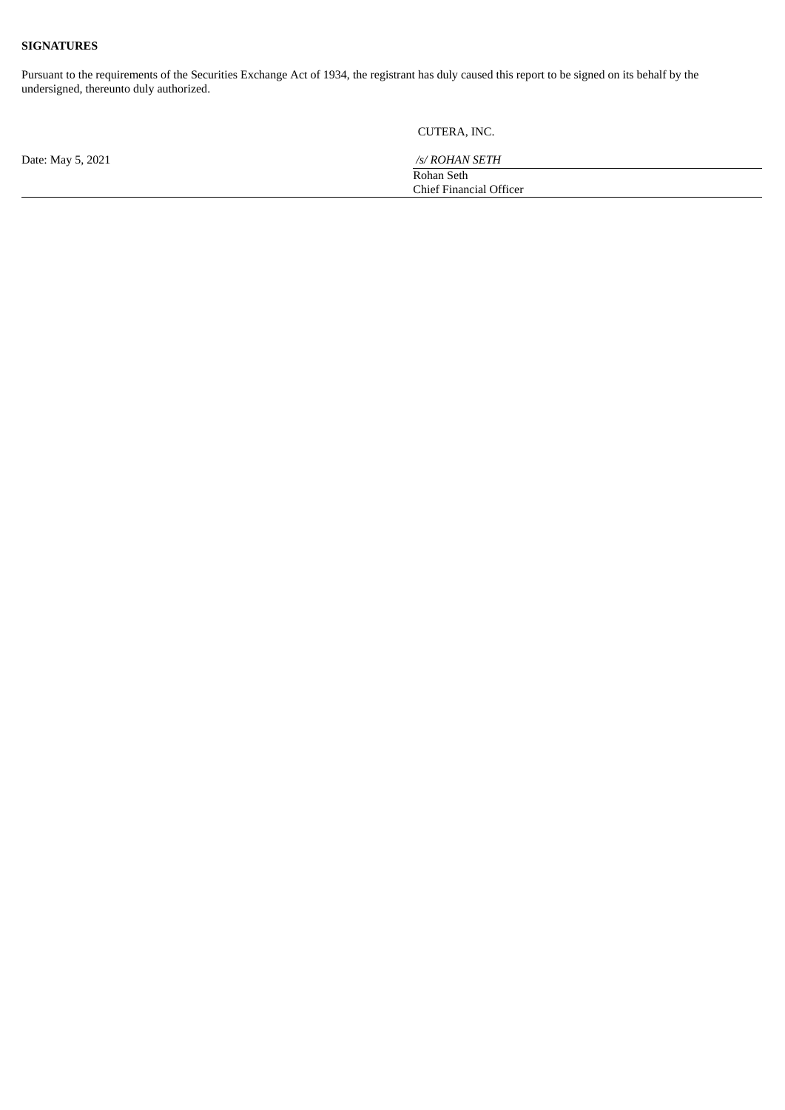## **SIGNATURES**

Pursuant to the requirements of the Securities Exchange Act of 1934, the registrant has duly caused this report to be signed on its behalf by the undersigned, thereunto duly authorized.

|                   | CUTERA, INC.                          |  |
|-------------------|---------------------------------------|--|
| Date: May 5, 2021 | /s/ ROHAN SETH                        |  |
|                   | Rohan Seth<br>Chief Financial Officer |  |
|                   |                                       |  |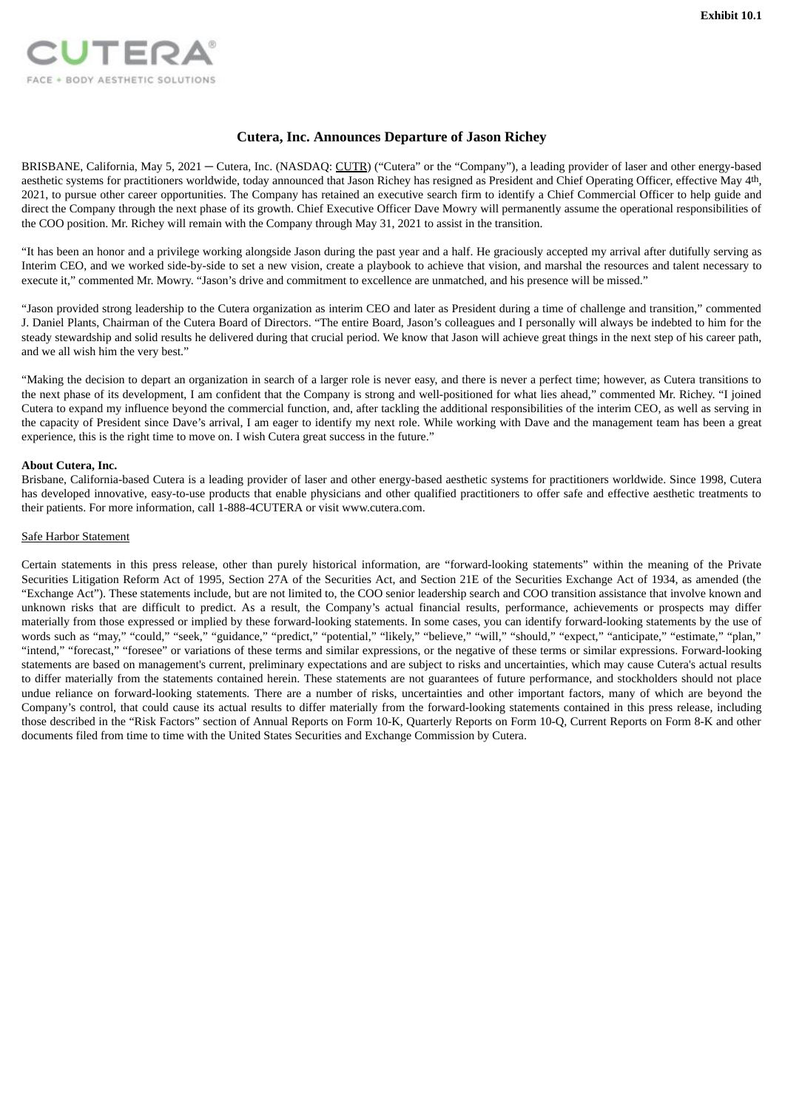<span id="page-3-0"></span>

## **Cutera, Inc. Announces Departure of Jason Richey**

BRISBANE, California, May 5, 2021 ─ Cutera, Inc. (NASDAQ: CUTR) ("Cutera" or the "Company"), a leading provider of laser and other energy-based aesthetic systems for practitioners worldwide, today announced that Jason Richey has resigned as President and Chief Operating Officer, effective May 4th, 2021, to pursue other career opportunities. The Company has retained an executive search firm to identify a Chief Commercial Officer to help guide and direct the Company through the next phase of its growth. Chief Executive Officer Dave Mowry will permanently assume the operational responsibilities of the COO position. Mr. Richey will remain with the Company through May 31, 2021 to assist in the transition.

"It has been an honor and a privilege working alongside Jason during the past year and a half. He graciously accepted my arrival after dutifully serving as Interim CEO, and we worked side-by-side to set a new vision, create a playbook to achieve that vision, and marshal the resources and talent necessary to execute it," commented Mr. Mowry. "Jason's drive and commitment to excellence are unmatched, and his presence will be missed."

"Jason provided strong leadership to the Cutera organization as interim CEO and later as President during a time of challenge and transition," commented J. Daniel Plants, Chairman of the Cutera Board of Directors. "The entire Board, Jason's colleagues and I personally will always be indebted to him for the steady stewardship and solid results he delivered during that crucial period. We know that Jason will achieve great things in the next step of his career path, and we all wish him the very best."

"Making the decision to depart an organization in search of a larger role is never easy, and there is never a perfect time; however, as Cutera transitions to the next phase of its development, I am confident that the Company is strong and well-positioned for what lies ahead," commented Mr. Richey. "I joined Cutera to expand my influence beyond the commercial function, and, after tackling the additional responsibilities of the interim CEO, as well as serving in the capacity of President since Dave's arrival, I am eager to identify my next role. While working with Dave and the management team has been a great experience, this is the right time to move on. I wish Cutera great success in the future."

#### **About Cutera, Inc.**

Brisbane, California-based Cutera is a leading provider of laser and other energy-based aesthetic systems for practitioners worldwide. Since 1998, Cutera has developed innovative, easy-to-use products that enable physicians and other qualified practitioners to offer safe and effective aesthetic treatments to their patients. For more information, call 1-888-4CUTERA or visit www.cutera.com.

#### Safe Harbor Statement

Certain statements in this press release, other than purely historical information, are "forward-looking statements" within the meaning of the Private Securities Litigation Reform Act of 1995, Section 27A of the Securities Act, and Section 21E of the Securities Exchange Act of 1934, as amended (the "Exchange Act"). These statements include, but are not limited to, the COO senior leadership search and COO transition assistance that involve known and unknown risks that are difficult to predict. As a result, the Company's actual financial results, performance, achievements or prospects may differ materially from those expressed or implied by these forward-looking statements. In some cases, you can identify forward-looking statements by the use of words such as "may," "could," "seek," "guidance," "predict," "potential," "likely," "believe," "will," "should," "expect," "anticipate," "estimate," "plan," "intend," "forecast," "foresee" or variations of these terms and similar expressions, or the negative of these terms or similar expressions. Forward-looking statements are based on management's current, preliminary expectations and are subject to risks and uncertainties, which may cause Cutera's actual results to differ materially from the statements contained herein. These statements are not guarantees of future performance, and stockholders should not place undue reliance on forward-looking statements. There are a number of risks, uncertainties and other important factors, many of which are beyond the Company's control, that could cause its actual results to differ materially from the forward-looking statements contained in this press release, including those described in the "Risk Factors" section of Annual Reports on Form 10-K, Quarterly Reports on Form 10-Q, Current Reports on Form 8-K and other documents filed from time to time with the United States Securities and Exchange Commission by Cutera.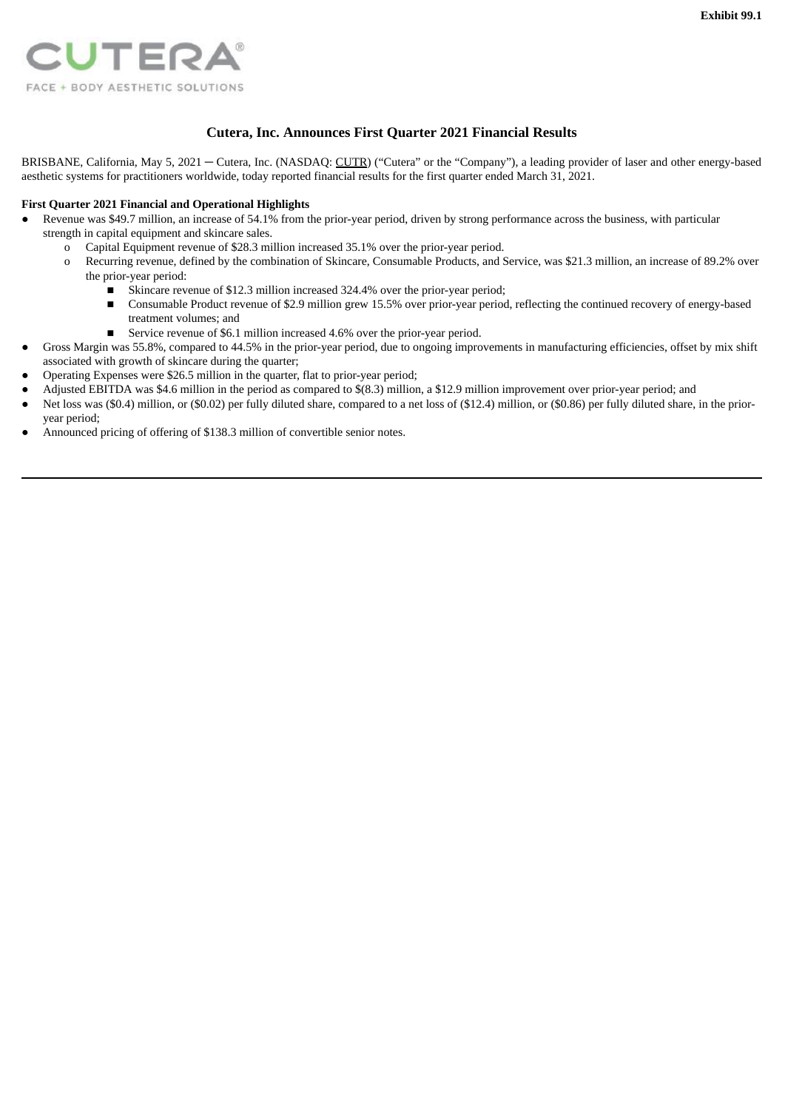<span id="page-4-0"></span>

## **Cutera, Inc. Announces First Quarter 2021 Financial Results**

BRISBANE, California, May 5, 2021 ─ Cutera, Inc. (NASDAQ: CUTR) ("Cutera" or the "Company"), a leading provider of laser and other energy-based aesthetic systems for practitioners worldwide, today reported financial results for the first quarter ended March 31, 2021.

## **First Quarter 2021 Financial and Operational Highlights**

- Revenue was \$49.7 million, an increase of 54.1% from the prior-year period, driven by strong performance across the business, with particular strength in capital equipment and skincare sales.
	- o Capital Equipment revenue of \$28.3 million increased 35.1% over the prior-year period.
	- o Recurring revenue, defined by the combination of Skincare, Consumable Products, and Service, was \$21.3 million, an increase of 89.2% over the prior-year period:
		- Skincare revenue of \$12.3 million increased 324.4% over the prior-vear period:
		- Consumable Product revenue of \$2.9 million grew 15.5% over prior-year period, reflecting the continued recovery of energy-based treatment volumes; and
		- Service revenue of \$6.1 million increased 4.6% over the prior-year period.
- Gross Margin was 55.8%, compared to 44.5% in the prior-year period, due to ongoing improvements in manufacturing efficiencies, offset by mix shift associated with growth of skincare during the quarter;
- Operating Expenses were \$26.5 million in the quarter, flat to prior-year period;
- Adjusted EBITDA was \$4.6 million in the period as compared to \$(8.3) million, a \$12.9 million improvement over prior-vear period; and
- Net loss was (\$0.4) million, or (\$0.02) per fully diluted share, compared to a net loss of (\$12.4) million, or (\$0.86) per fully diluted share, in the prioryear period;
- Announced pricing of offering of \$138.3 million of convertible senior notes.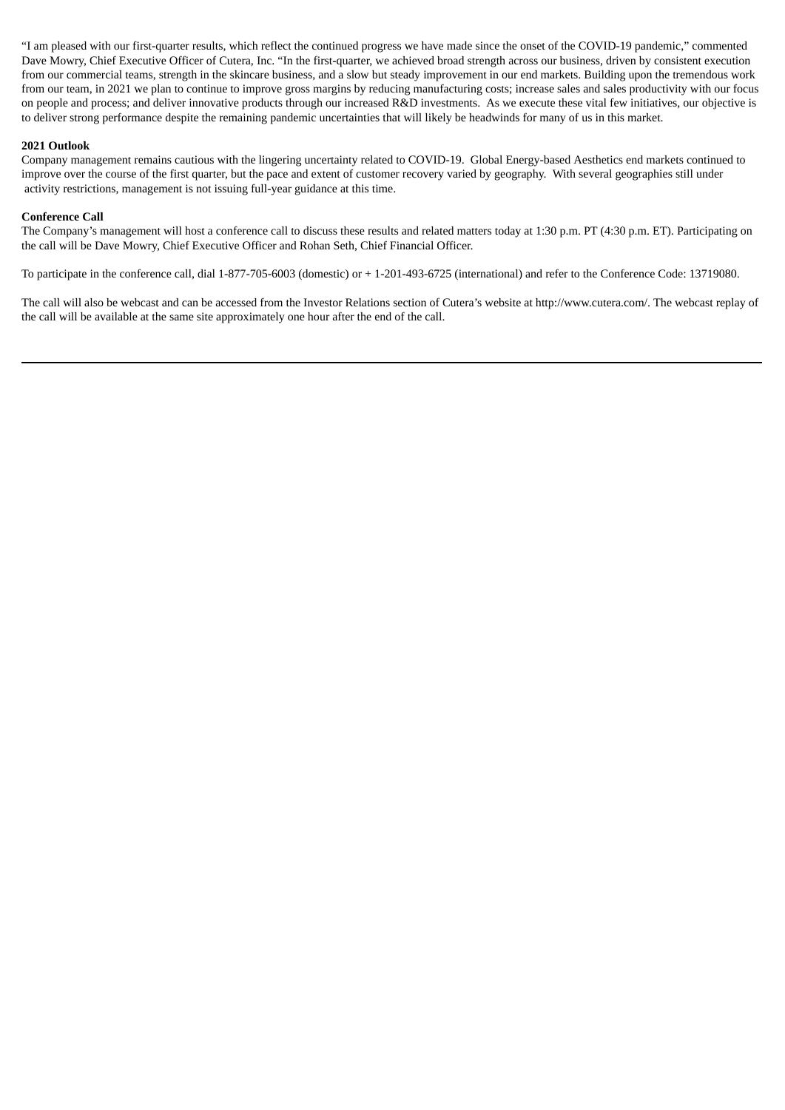"I am pleased with our first-quarter results, which reflect the continued progress we have made since the onset of the COVID-19 pandemic," commented Dave Mowry, Chief Executive Officer of Cutera, Inc. "In the first-quarter, we achieved broad strength across our business, driven by consistent execution from our commercial teams, strength in the skincare business, and a slow but steady improvement in our end markets. Building upon the tremendous work from our team, in 2021 we plan to continue to improve gross margins by reducing manufacturing costs; increase sales and sales productivity with our focus on people and process; and deliver innovative products through our increased R&D investments. As we execute these vital few initiatives, our objective is to deliver strong performance despite the remaining pandemic uncertainties that will likely be headwinds for many of us in this market.

## **2021 Outlook**

Company management remains cautious with the lingering uncertainty related to COVID-19. Global Energy-based Aesthetics end markets continued to improve over the course of the first quarter, but the pace and extent of customer recovery varied by geography. With several geographies still under activity restrictions, management is not issuing full-year guidance at this time.

## **Conference Call**

The Company's management will host a conference call to discuss these results and related matters today at 1:30 p.m. PT (4:30 p.m. ET). Participating on the call will be Dave Mowry, Chief Executive Officer and Rohan Seth, Chief Financial Officer.

To participate in the conference call, dial 1-877-705-6003 (domestic) or + 1-201-493-6725 (international) and refer to the Conference Code: 13719080.

The call will also be webcast and can be accessed from the Investor Relations section of Cutera's website at http://www.cutera.com/. The webcast replay of the call will be available at the same site approximately one hour after the end of the call.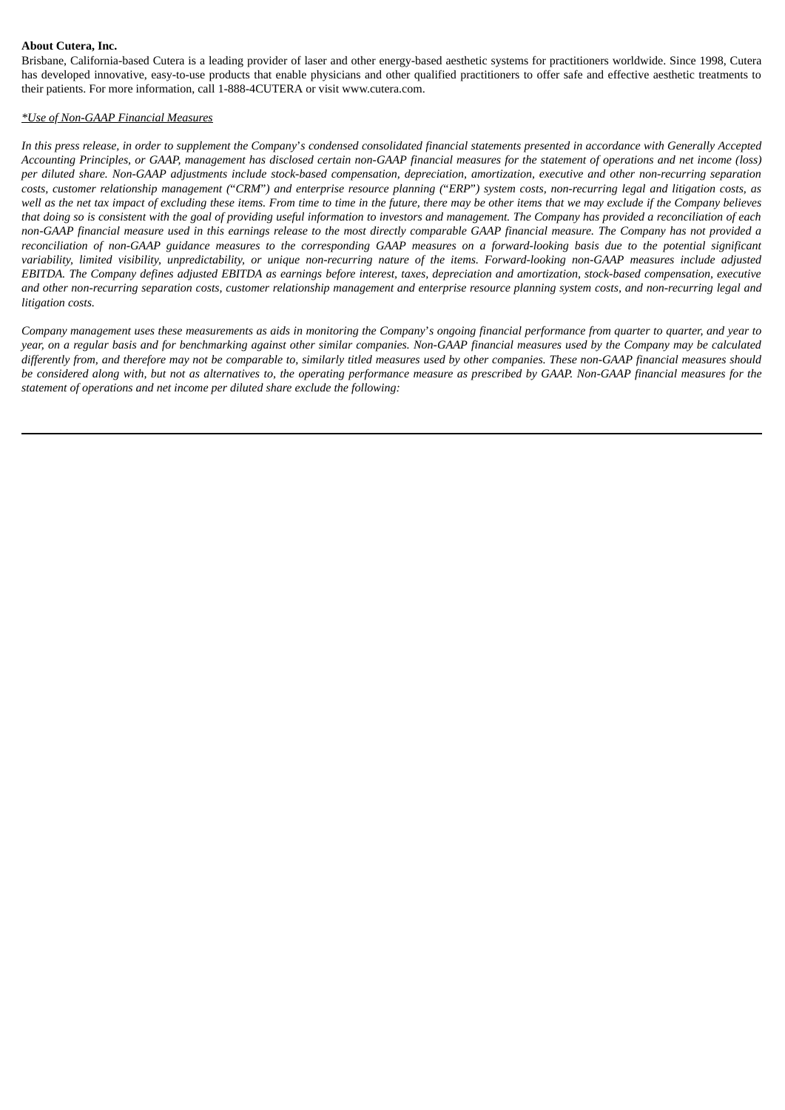## **About Cutera, Inc.**

Brisbane, California-based Cutera is a leading provider of laser and other energy-based aesthetic systems for practitioners worldwide. Since 1998, Cutera has developed innovative, easy-to-use products that enable physicians and other qualified practitioners to offer safe and effective aesthetic treatments to their patients. For more information, call 1-888-4CUTERA or visit www.cutera.com.

#### *\*Use of Non-GAAP Financial Measures*

In this press release, in order to supplement the Company's condensed consolidated financial statements presented in accordance with Generally Accepted Accounting Principles, or GAAP, management has disclosed certain non-GAAP financial measures for the statement of operations and net income (loss) per diluted share. Non-GAAP adjustments include stock-based compensation, depreciation, amortization, executive and other non-recurring separation costs, customer relationship management ("CRM") and enterprise resource planning ("ERP") system costs, non-recurring legal and litigation costs, as well as the net tax impact of excluding these items. From time to time in the future, there may be other items that we may exclude if the Company believes that doing so is consistent with the goal of providing useful information to investors and management. The Company has provided a reconciliation of each non-GAAP financial measure used in this earnings release to the most directly comparable GAAP financial measure. The Company has not provided a reconciliation of non-GAAP quidance measures to the corresponding GAAP measures on a forward-looking basis due to the potential significant variability, limited visibility, unpredictability, or unique non-recurring nature of the items. Forward-looking non-GAAP measures include adjusted EBITDA. The Company defines adjusted EBITDA as earnings before interest, taxes, depreciation and amortization, stock-based compensation, executive and other non-recurring separation costs, customer relationship management and enterprise resource planning system costs, and non-recurring legal and *litigation costs.*

Company management uses these measurements as aids in monitoring the Company's ongoing financial performance from quarter to quarter, and year to year, on a regular basis and for benchmarking against other similar companies. Non-GAAP financial measures used by the Company may be calculated differently from, and therefore may not be comparable to, similarly titled measures used by other companies. These non-GAAP financial measures should be considered along with, but not as alternatives to, the operating performance measure as prescribed by GAAP. Non-GAAP financial measures for the *statement of operations and net income per diluted share exclude the following:*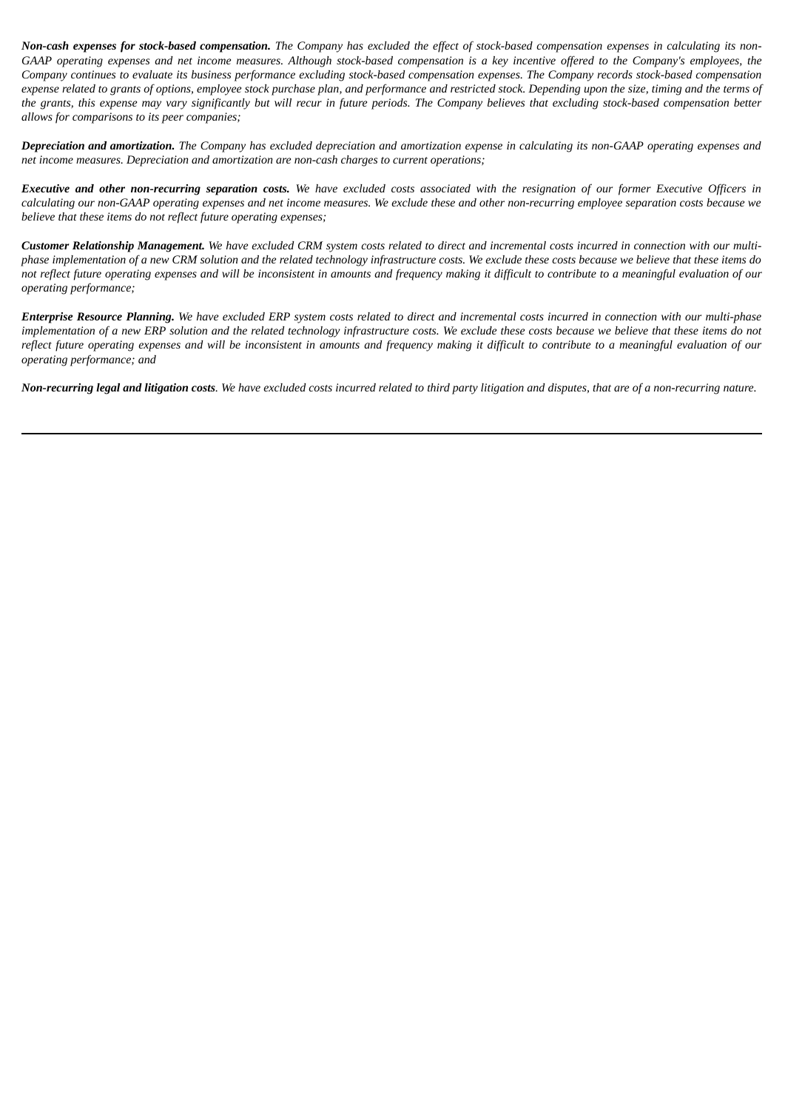Non-cash expenses for stock-based compensation. The Company has excluded the effect of stock-based compensation expenses in calculating its non-GAAP operating expenses and net income measures. Although stock-based compensation is a key incentive offered to the Company's employees, the Company continues to evaluate its business performance excluding stock-based compensation expenses. The Company records stock-based compensation expense related to grants of options, employee stock purchase plan, and performance and restricted stock. Depending upon the size, timing and the terms of the grants, this expense may vary significantly but will recur in future periods. The Company believes that excluding stock-based compensation better *allows for comparisons to its peer companies;*

Depreciation and amortization. The Company has excluded depreciation and amortization expense in calculating its non-GAAP operating expenses and *net income measures. Depreciation and amortization are non-cash charges to current operations;*

Executive and other non-recurring separation costs. We have excluded costs associated with the resignation of our former Executive Officers in calculating our non-GAAP operating expenses and net income measures. We exclude these and other non-recurring employee separation costs because we *believe that these items do not reflect future operating expenses;*

Customer Relationship Management. We have excluded CRM system costs related to direct and incremental costs incurred in connection with our multiphase implementation of a new CRM solution and the related technology infrastructure costs. We exclude these costs because we believe that these items do not reflect future operating expenses and will be inconsistent in amounts and frequency making it difficult to contribute to a meaningful evaluation of our *operating performance;*

Enterprise Resource Planning. We have excluded ERP system costs related to direct and incremental costs incurred in connection with our multi-phase implementation of a new ERP solution and the related technology infrastructure costs. We exclude these costs because we believe that these items do not reflect future operating expenses and will be inconsistent in amounts and frequency making it difficult to contribute to a meaningful evaluation of our *operating performance; and*

Non-recurring legal and litigation costs. We have excluded costs incurred related to third party litigation and disputes, that are of a non-recurring nature.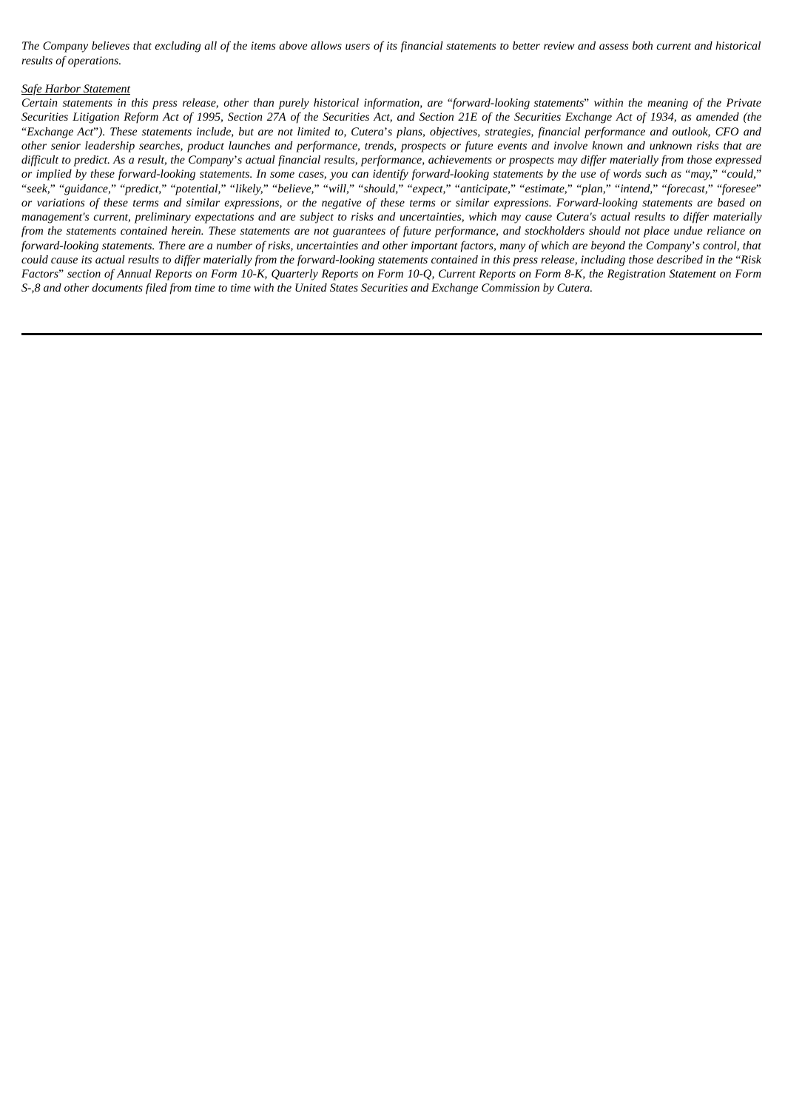The Company believes that excluding all of the items above allows users of its financial statements to better review and assess both current and historical *results of operations.*

#### *Safe Harbor Statement*

Certain statements in this press release, other than purely historical information, are "forward-looking statements" within the meaning of the Private Securities Litigation Reform Act of 1995, Section 27A of the Securities Act, and Section 21E of the Securities Exchange Act of 1934, as amended (the "Exchange Act"). These statements include, but are not limited to, Cutera's plans, objectives, strategies, financial performance and outlook, CFO and other senior leadership searches, product launches and performance, trends, prospects or future events and involve known and unknown risks that are difficult to predict. As a result, the Company's actual financial results, performance, achievements or prospects may differ materially from those expressed or implied by these forward-looking statements. In some cases, you can identify forward-looking statements by the use of words such as "may," "could," "seek," "guidance," "predict," "potential," "likely," "believe," "will," "should," "expect," "anticipate," "estimate," "plan," "intend," "forecast," "foresee" or variations of these terms and similar expressions, or the negative of these terms or similar expressions. Forward-looking statements are based on management's current, preliminary expectations and are subject to risks and uncertainties, which may cause Cutera's actual results to differ materially from the statements contained herein. These statements are not guarantees of future performance, and stockholders should not place undue reliance on forward-looking statements. There are a number of risks, uncertainties and other important factors, many of which are beyond the Company's control, that could cause its actual results to differ materially from the forward-looking statements contained in this press release, including those described in the "Risk Factors" section of Annual Reports on Form 10-K, Quarterly Reports on Form 10-Q, Current Reports on Form 8-K, the Registration Statement on Form S-,8 and other documents filed from time to time with the United States Securities and Exchange Commission by Cutera.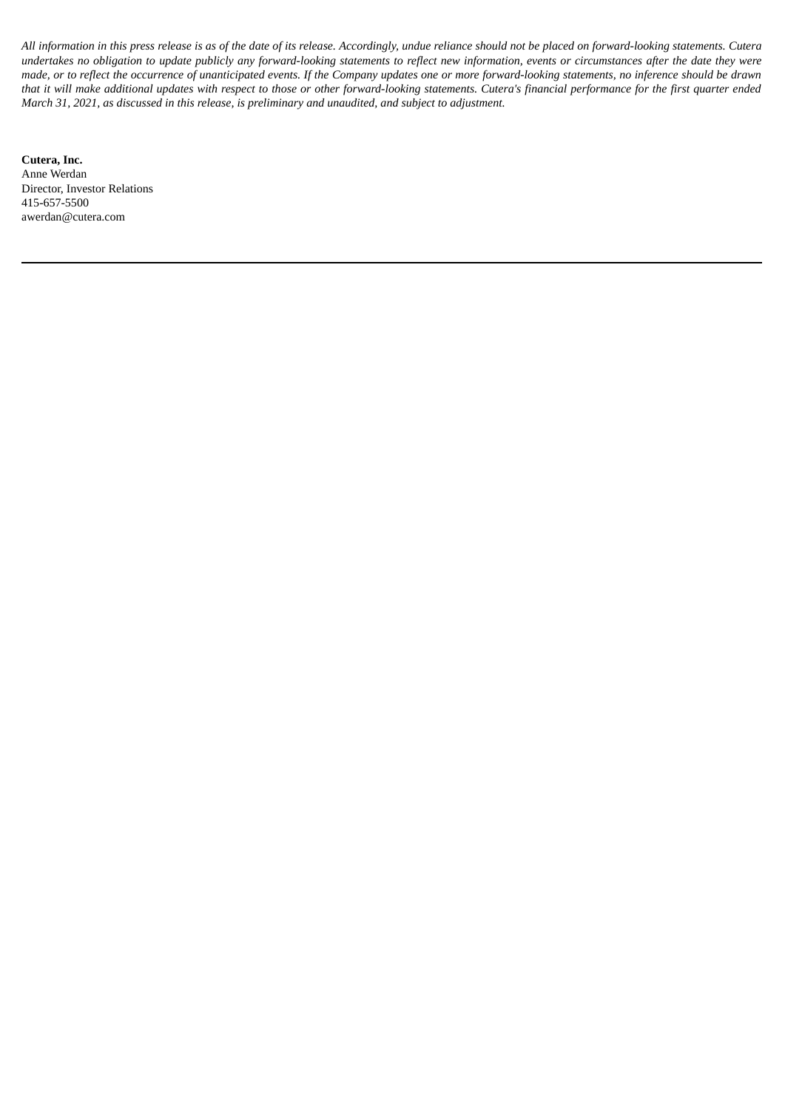All information in this press release is as of the date of its release. Accordingly, undue reliance should not be placed on forward-looking statements. Cutera undertakes no obligation to update publicly any forward-looking statements to reflect new information, events or circumstances after the date they were made, or to reflect the occurrence of unanticipated events. If the Company updates one or more forward-looking statements, no inference should be drawn that it will make additional updates with respect to those or other forward-looking statements. Cutera's financial performance for the first quarter ended *March 31, 2021, as discussed in this release, is preliminary and unaudited, and subject to adjustment.*

**Cutera, Inc.** Anne Werdan Director, Investor Relations 415-657-5500 awerdan@cutera.com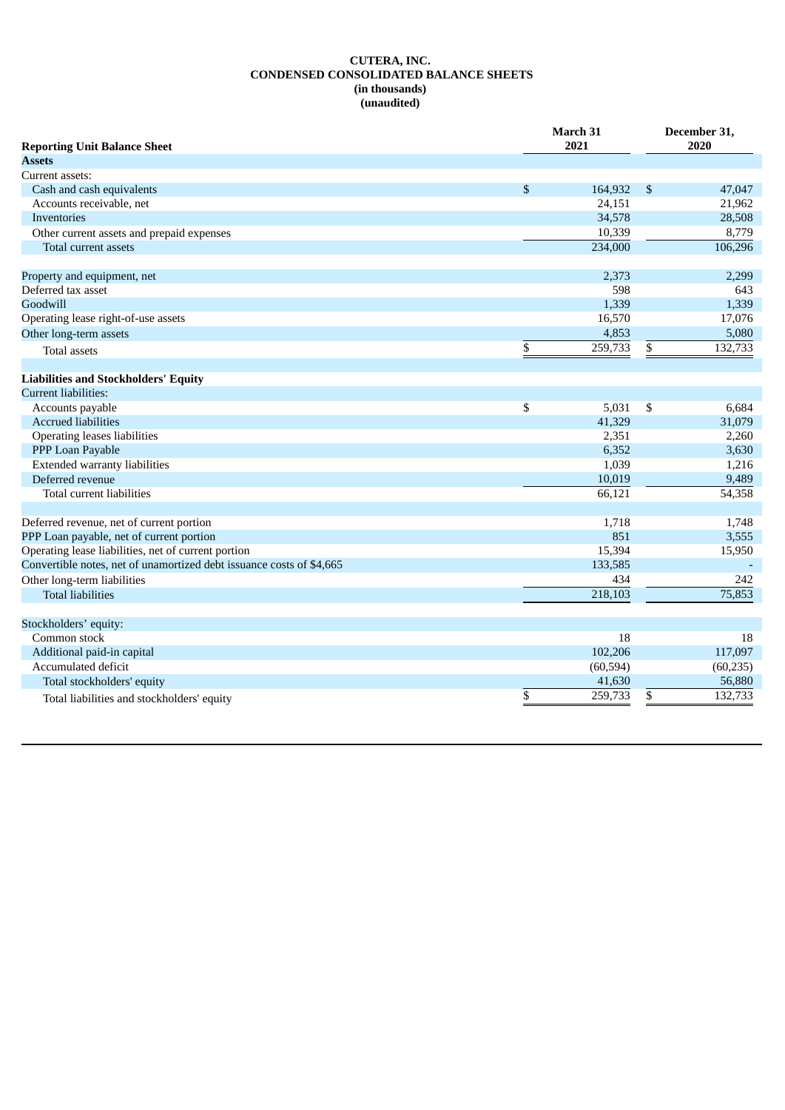## **CUTERA, INC. CONDENSED CONSOLIDATED BALANCE SHEETS (in thousands) (unaudited)**

| <b>Reporting Unit Balance Sheet</b>                                  |                 | March 31<br>2021 | December 31,<br>2020 |           |
|----------------------------------------------------------------------|-----------------|------------------|----------------------|-----------|
| <b>Assets</b>                                                        |                 |                  |                      |           |
| Current assets:                                                      |                 |                  |                      |           |
| Cash and cash equivalents                                            | \$              | 164,932          | \$                   | 47,047    |
| Accounts receivable, net                                             |                 | 24,151           |                      | 21,962    |
| <b>Inventories</b>                                                   |                 | 34,578           |                      | 28,508    |
| Other current assets and prepaid expenses                            |                 | 10,339           |                      | 8,779     |
| Total current assets                                                 |                 | 234,000          |                      | 106,296   |
| Property and equipment, net                                          |                 | 2,373            |                      | 2,299     |
| Deferred tax asset                                                   |                 | 598              |                      | 643       |
| Goodwill                                                             |                 | 1,339            |                      | 1,339     |
| Operating lease right-of-use assets                                  |                 | 16,570           |                      | 17,076    |
| Other long-term assets                                               |                 | 4,853            |                      | 5,080     |
| <b>Total assets</b>                                                  | \$              | 259,733          | \$                   | 132,733   |
| <b>Liabilities and Stockholders' Equity</b>                          |                 |                  |                      |           |
| <b>Current liabilities:</b>                                          |                 |                  |                      |           |
| Accounts payable                                                     | \$              | 5,031            | \$                   | 6,684     |
| <b>Accrued liabilities</b>                                           |                 | 41,329           |                      | 31,079    |
| Operating leases liabilities                                         |                 | 2,351            |                      | 2,260     |
| PPP Loan Payable                                                     |                 | 6,352            |                      | 3,630     |
| <b>Extended warranty liabilities</b>                                 |                 | 1,039            |                      | 1,216     |
| Deferred revenue                                                     |                 | 10,019           |                      | 9,489     |
| Total current liabilities                                            |                 | 66,121           |                      | 54,358    |
| Deferred revenue, net of current portion                             |                 | 1,718            |                      | 1,748     |
| PPP Loan payable, net of current portion                             |                 | 851              |                      | 3,555     |
| Operating lease liabilities, net of current portion                  |                 | 15,394           |                      | 15,950    |
| Convertible notes, net of unamortized debt issuance costs of \$4,665 |                 | 133,585          |                      |           |
| Other long-term liabilities                                          |                 | 434              |                      | 242       |
| <b>Total liabilities</b>                                             |                 | 218,103          |                      | 75,853    |
| Stockholders' equity:                                                |                 |                  |                      |           |
| Common stock                                                         |                 | 18               |                      | 18        |
| Additional paid-in capital                                           |                 | 102,206          |                      | 117,097   |
| Accumulated deficit                                                  |                 | (60, 594)        |                      | (60, 235) |
| Total stockholders' equity                                           |                 | 41,630           |                      | 56,880    |
| Total liabilities and stockholders' equity                           | $\overline{\$}$ | 259,733          | \$                   | 132,733   |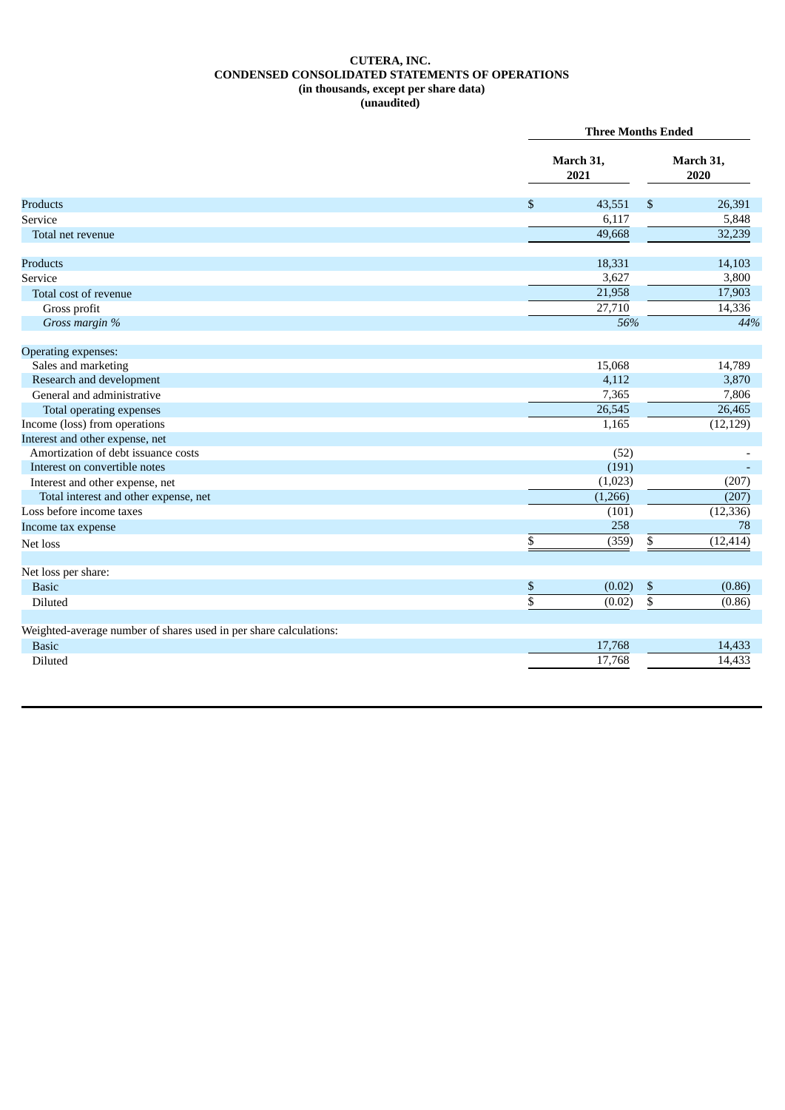## **CUTERA, INC. CONDENSED CONSOLIDATED STATEMENTS OF OPERATIONS (in thousands, except per share data) (unaudited)**

|                                                                   |                 | <b>Three Months Ended</b> |           |  |  |
|-------------------------------------------------------------------|-----------------|---------------------------|-----------|--|--|
|                                                                   |                 | March 31,<br>2021         |           |  |  |
| Products                                                          | $\mathbf{s}$    | 43,551<br>\$              | 26,391    |  |  |
| Service                                                           |                 | 6,117                     | 5,848     |  |  |
| Total net revenue                                                 |                 | 49,668                    | 32,239    |  |  |
| <b>Products</b>                                                   |                 | 18,331                    | 14,103    |  |  |
| Service                                                           |                 | 3,627                     | 3,800     |  |  |
| Total cost of revenue                                             |                 | 21,958                    | 17,903    |  |  |
| Gross profit                                                      |                 | 27,710                    | 14,336    |  |  |
| Gross margin %                                                    |                 | 56%                       | 44%       |  |  |
| Operating expenses:                                               |                 |                           |           |  |  |
| Sales and marketing                                               |                 | 15,068                    | 14,789    |  |  |
| Research and development                                          |                 | 4,112                     | 3,870     |  |  |
| General and administrative                                        |                 | 7,365                     | 7,806     |  |  |
| Total operating expenses                                          |                 | 26,545                    | 26,465    |  |  |
| Income (loss) from operations                                     |                 | 1,165                     | (12, 129) |  |  |
| Interest and other expense, net                                   |                 |                           |           |  |  |
| Amortization of debt issuance costs                               |                 | (52)                      |           |  |  |
| Interest on convertible notes                                     |                 | (191)                     |           |  |  |
| Interest and other expense, net                                   |                 | (1,023)                   | (207)     |  |  |
| Total interest and other expense, net                             |                 | (1,266)                   | (207)     |  |  |
| Loss before income taxes                                          |                 | (101)                     | (12, 336) |  |  |
| Income tax expense                                                |                 | 258                       | 78        |  |  |
| Net loss                                                          | \$              | (359)<br>\$               | (12, 414) |  |  |
| Net loss per share:                                               |                 |                           |           |  |  |
| <b>Basic</b>                                                      | $\mathbb{S}$    | (0.02)<br>\$              | (0.86)    |  |  |
| Diluted                                                           | $\overline{\$}$ | $\overline{\$}$<br>(0.02) | (0.86)    |  |  |
| Weighted-average number of shares used in per share calculations: |                 |                           |           |  |  |
| <b>Basic</b>                                                      |                 | 17,768                    | 14,433    |  |  |
| Diluted                                                           |                 | 17,768                    | 14,433    |  |  |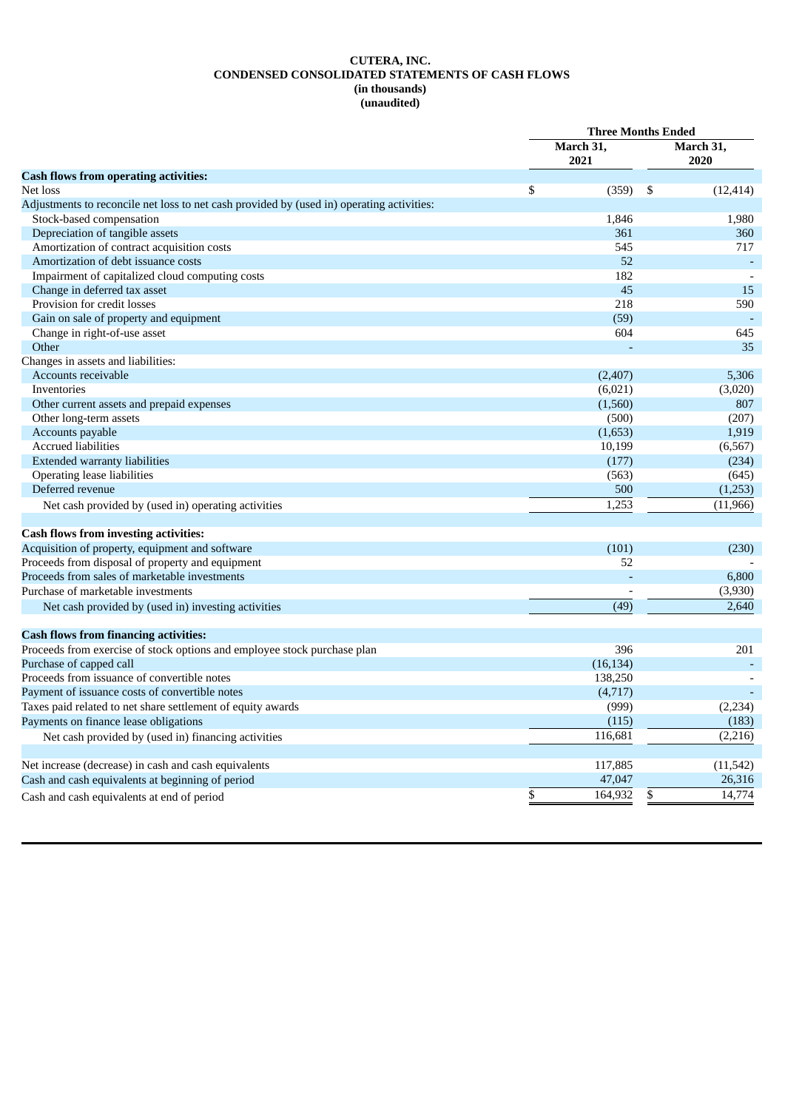## **CUTERA, INC. CONDENSED CONSOLIDATED STATEMENTS OF CASH FLOWS (in thousands) (unaudited)**

|                                                                                           | <b>Three Months Ended</b> |                   |     |                   |
|-------------------------------------------------------------------------------------------|---------------------------|-------------------|-----|-------------------|
|                                                                                           |                           | March 31,<br>2021 |     | March 31,<br>2020 |
| <b>Cash flows from operating activities:</b>                                              |                           |                   |     |                   |
| Net loss                                                                                  | \$                        | (359)             | -\$ | (12, 414)         |
| Adjustments to reconcile net loss to net cash provided by (used in) operating activities: |                           |                   |     |                   |
| Stock-based compensation                                                                  |                           | 1,846             |     | 1,980             |
| Depreciation of tangible assets                                                           |                           | 361               |     | 360               |
| Amortization of contract acquisition costs                                                |                           | 545               |     | 717               |
| Amortization of debt issuance costs                                                       |                           | 52                |     |                   |
| Impairment of capitalized cloud computing costs                                           |                           | 182               |     |                   |
| Change in deferred tax asset                                                              |                           | 45                |     | 15                |
| Provision for credit losses                                                               |                           | 218               |     | 590               |
| Gain on sale of property and equipment                                                    |                           | (59)              |     |                   |
| Change in right-of-use asset                                                              |                           | 604               |     | 645               |
| Other                                                                                     |                           |                   |     | 35                |
| Changes in assets and liabilities:                                                        |                           |                   |     |                   |
| Accounts receivable                                                                       |                           | (2,407)           |     | 5,306             |
| Inventories                                                                               |                           | (6,021)           |     | (3,020)           |
| Other current assets and prepaid expenses                                                 |                           | (1,560)           |     | 807               |
| Other long-term assets                                                                    |                           | (500)             |     | (207)             |
| Accounts payable                                                                          |                           | (1,653)           |     | 1,919             |
| <b>Accrued liabilities</b>                                                                |                           | 10,199            |     | (6, 567)          |
| <b>Extended warranty liabilities</b>                                                      |                           | (177)             |     | (234)             |
| Operating lease liabilities                                                               |                           | (563)             |     | (645)             |
| Deferred revenue                                                                          |                           | 500               |     | (1,253)           |
| Net cash provided by (used in) operating activities                                       |                           | 1,253             |     | (11, 966)         |
| <b>Cash flows from investing activities:</b>                                              |                           |                   |     |                   |
| Acquisition of property, equipment and software                                           |                           | (101)             |     | (230)             |
| Proceeds from disposal of property and equipment                                          |                           | 52                |     |                   |
| Proceeds from sales of marketable investments                                             |                           |                   |     | 6,800             |
| Purchase of marketable investments                                                        |                           |                   |     | (3,930)           |
| Net cash provided by (used in) investing activities                                       |                           | (49)              |     | 2.640             |
|                                                                                           |                           |                   |     |                   |
| <b>Cash flows from financing activities:</b>                                              |                           |                   |     |                   |
| Proceeds from exercise of stock options and employee stock purchase plan                  |                           | 396               |     | 201               |
| Purchase of capped call                                                                   |                           | (16, 134)         |     |                   |
| Proceeds from issuance of convertible notes                                               |                           | 138,250           |     |                   |
| Payment of issuance costs of convertible notes                                            |                           | (4,717)           |     |                   |
| Taxes paid related to net share settlement of equity awards                               |                           | (999)             |     | (2,234)           |
| Payments on finance lease obligations                                                     |                           | (115)             |     | (183)             |
| Net cash provided by (used in) financing activities                                       |                           | 116,681           |     | (2,216)           |
| Net increase (decrease) in cash and cash equivalents                                      |                           | 117,885           |     | (11, 542)         |
|                                                                                           |                           | 47,047            |     | 26,316            |
| Cash and cash equivalents at beginning of period                                          |                           |                   |     |                   |
| Cash and cash equivalents at end of period                                                | \$                        | 164,932           | \$  | 14,774            |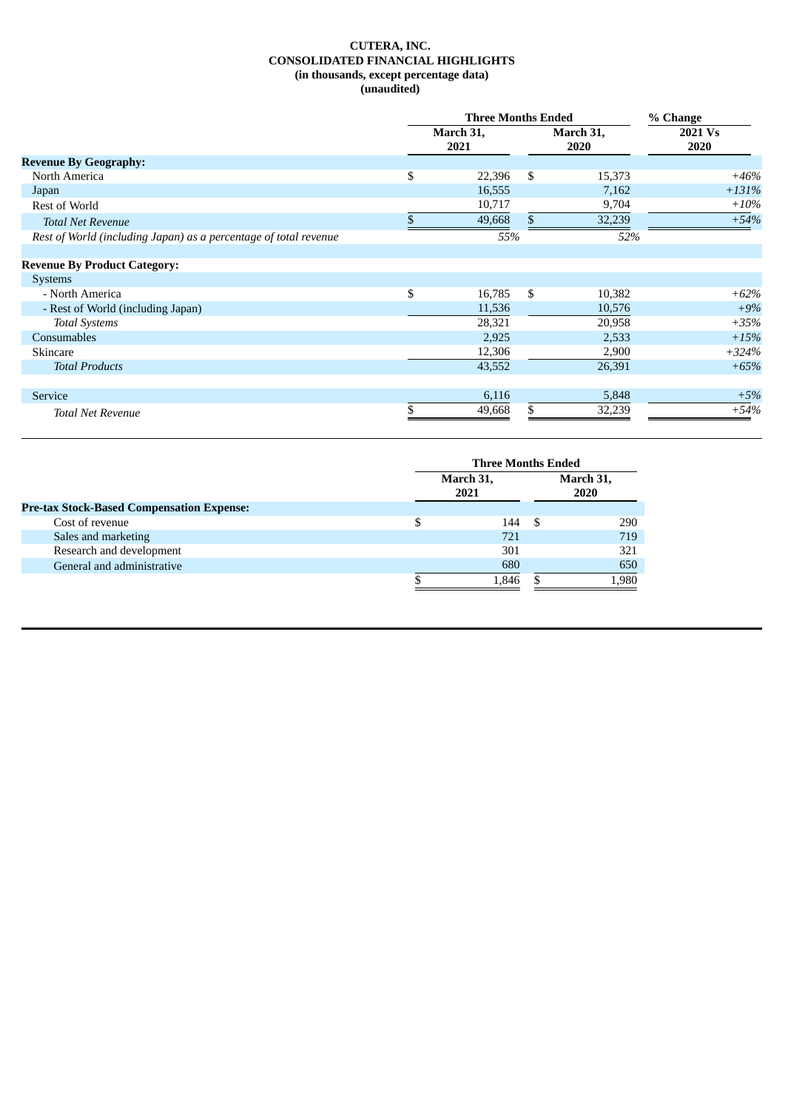## **CUTERA, INC. CONSOLIDATED FINANCIAL HIGHLIGHTS (in thousands, except percentage data) (unaudited)**

|                                                                  | <b>Three Months Ended</b> | % Change |                   |                 |
|------------------------------------------------------------------|---------------------------|----------|-------------------|-----------------|
|                                                                  | March 31,<br>2021         |          | March 31,<br>2020 | 2021 Vs<br>2020 |
| <b>Revenue By Geography:</b>                                     |                           |          |                   |                 |
| North America                                                    | \$<br>22,396              | \$       | 15,373            | $+46%$          |
| Japan                                                            | 16,555                    |          | 7,162             | $+131%$         |
| Rest of World                                                    | 10,717                    |          | 9,704             | $+10%$          |
| <b>Total Net Revenue</b>                                         | 49,668                    | \$.      | 32,239            | $+54%$          |
| Rest of World (including Japan) as a percentage of total revenue | 55%                       |          | 52%               |                 |
| <b>Revenue By Product Category:</b>                              |                           |          |                   |                 |
| <b>Systems</b>                                                   |                           |          |                   |                 |
| - North America                                                  | \$<br>16,785              | \$       | 10,382            | $+62%$          |
| - Rest of World (including Japan)                                | 11,536                    |          | 10,576            | $+9%$           |
| <b>Total Systems</b>                                             | 28,321                    |          | 20,958            | $+35%$          |
| Consumables                                                      | 2,925                     |          | 2,533             | $+15%$          |
| Skincare                                                         | 12,306                    |          | 2,900             | $+324%$         |
| <b>Total Products</b>                                            | 43,552                    |          | 26,391            | $+65%$          |
|                                                                  |                           |          |                   | $+5%$           |
| Service                                                          | 6,116                     |          | 5,848             |                 |
| <b>Total Net Revenue</b>                                         | 49,668                    |          | 32,239            | $+54%$          |

|                                                  | <b>Three Months Ended</b> |       |      |                   |  |
|--------------------------------------------------|---------------------------|-------|------|-------------------|--|
|                                                  | March 31,<br>2021         |       |      | March 31,<br>2020 |  |
| <b>Pre-tax Stock-Based Compensation Expense:</b> |                           |       |      |                   |  |
| Cost of revenue                                  | \$                        | 144   | - \$ | 290               |  |
| Sales and marketing                              |                           | 721   |      | 719               |  |
| Research and development                         |                           | 301   |      | 321               |  |
| General and administrative                       |                           | 680   |      | 650               |  |
|                                                  |                           | 1,846 |      | 1,980             |  |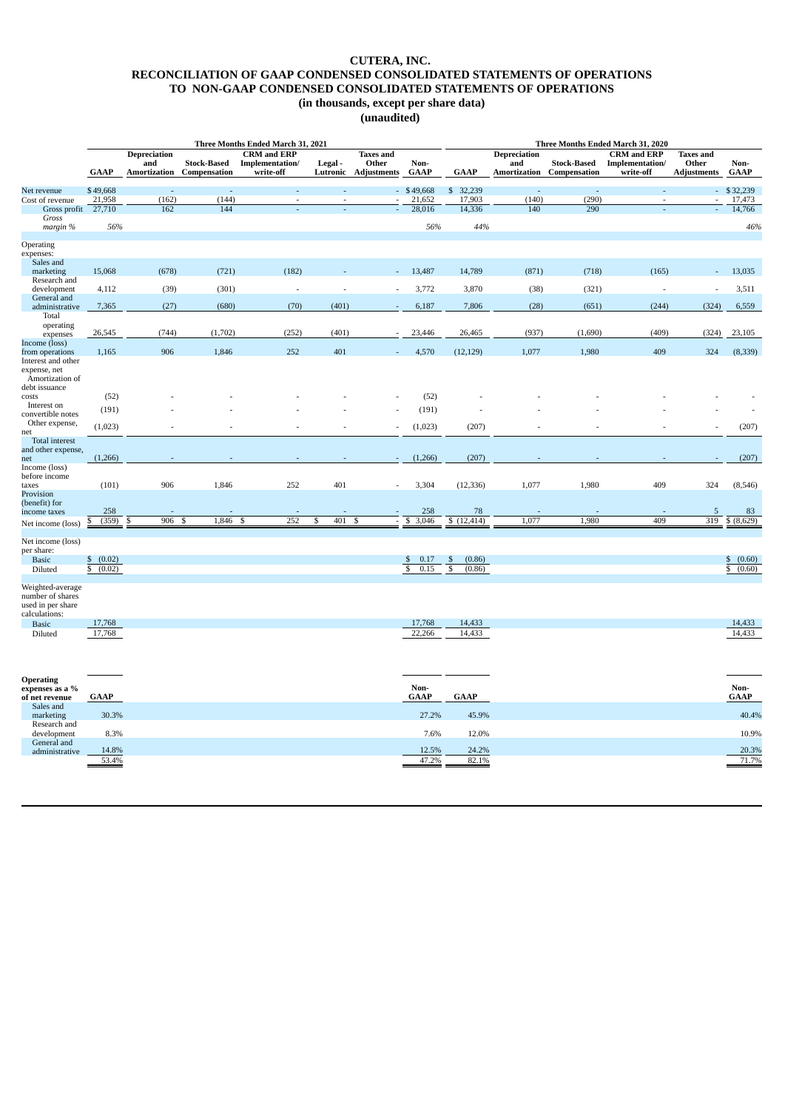## **CUTERA, INC. RECONCILIATION OF GAAP CONDENSED CONSOLIDATED STATEMENTS OF OPERATIONS TO NON-GAAP CONDENSED CONSOLIDATED STATEMENTS OF OPERATIONS (in thousands, except per share data)**

**(unaudited)**

|                                      | Three Months Ended March 31, 2021 |                     |                    |                               |                                                      | Three Months Ended March 31, 2020 |                                 |                     |                     |                           |                                |                          |                        |
|--------------------------------------|-----------------------------------|---------------------|--------------------|-------------------------------|------------------------------------------------------|-----------------------------------|---------------------------------|---------------------|---------------------|---------------------------|--------------------------------|--------------------------|------------------------|
|                                      |                                   | <b>Depreciation</b> |                    | <b>CRM</b> and ERP            |                                                      | <b>Taxes and</b>                  |                                 |                     | <b>Depreciation</b> |                           | <b>CRM</b> and ERP             | <b>Taxes</b> and         |                        |
|                                      |                                   | and                 | <b>Stock-Based</b> | Implementation/               | Legal -                                              | Other                             | Non-                            |                     | and                 | <b>Stock-Based</b>        | Implementation/                | Other                    | Non-                   |
|                                      | GAAP                              | Amortization        | Compensation       | write-off                     | Lutronic                                             | Adjustments                       | <b>GAAP</b>                     | <b>GAAP</b>         |                     | Amortization Compensation | write-off                      | <b>Adjustments</b>       | <b>GAAP</b>            |
|                                      |                                   |                     |                    |                               |                                                      |                                   |                                 |                     |                     |                           |                                |                          |                        |
| Net revenue<br>Cost of revenue       | \$49,668<br>21,958                | $\sim$<br>(162)     | $\sim$<br>(144)    | ٠<br>$\overline{\phantom{a}}$ | $\overline{\phantom{a}}$<br>$\overline{\phantom{a}}$ | $\overline{\phantom{a}}$          | $-$ \$49,668<br>21,652          | \$ 32,239<br>17,903 | $\sim$<br>(140)     | $\sim$<br>(290)           | ÷,<br>$\overline{\phantom{a}}$ | $\overline{\phantom{a}}$ | $-$ \$32,239<br>17,473 |
| Gross profit                         | 27,710                            | 162                 | 144                |                               |                                                      |                                   | 28,016                          | 14,336              | 140                 | 290                       |                                |                          | 14,766                 |
| Gross                                |                                   |                     |                    |                               |                                                      |                                   |                                 |                     |                     |                           |                                |                          |                        |
| margin %                             | 56%                               |                     |                    |                               |                                                      |                                   | 56%                             | 44%                 |                     |                           |                                |                          | 46%                    |
|                                      |                                   |                     |                    |                               |                                                      |                                   |                                 |                     |                     |                           |                                |                          |                        |
| Operating                            |                                   |                     |                    |                               |                                                      |                                   |                                 |                     |                     |                           |                                |                          |                        |
| expenses:<br>Sales and               |                                   |                     |                    |                               |                                                      |                                   |                                 |                     |                     |                           |                                |                          |                        |
| marketing                            | 15,068                            | (678)               | (721)              | (182)                         |                                                      |                                   | 13,487                          | 14,789              | (871)               | (718)                     | (165)                          |                          | 13,035                 |
| Research and                         |                                   |                     |                    |                               |                                                      |                                   |                                 |                     |                     |                           |                                |                          |                        |
| development                          | 4,112                             | (39)                | (301)              | ÷,                            |                                                      |                                   | 3,772                           | 3,870               | (38)                | (321)                     | ÷,                             |                          | 3,511                  |
| General and                          |                                   |                     |                    |                               |                                                      |                                   |                                 |                     |                     |                           |                                |                          |                        |
| administrative<br>Total              | 7,365                             | (27)                | (680)              | (70)                          | (401)                                                |                                   | 6,187                           | 7,806               | (28)                | (651)                     | (244)                          | (324)                    | 6,559                  |
| operating                            |                                   |                     |                    |                               |                                                      |                                   |                                 |                     |                     |                           |                                |                          |                        |
| expenses                             | 26,545                            | (744)               | (1,702)            | (252)                         | (401)                                                |                                   | 23,446                          | 26,465              | (937)               | (1,690)                   | (409)                          | (324)                    | 23,105                 |
| Income (loss)                        |                                   |                     |                    |                               |                                                      |                                   |                                 |                     |                     |                           |                                |                          |                        |
| from operations                      | 1,165                             | 906                 | 1,846              | 252                           | 401                                                  |                                   | 4,570                           | (12, 129)           | 1,077               | 1,980                     | 409                            | 324                      | (8, 339)               |
| Interest and other                   |                                   |                     |                    |                               |                                                      |                                   |                                 |                     |                     |                           |                                |                          |                        |
| expense, net<br>Amortization of      |                                   |                     |                    |                               |                                                      |                                   |                                 |                     |                     |                           |                                |                          |                        |
| debt issuance                        |                                   |                     |                    |                               |                                                      |                                   |                                 |                     |                     |                           |                                |                          |                        |
| costs                                | (52)                              |                     |                    |                               |                                                      |                                   | (52)                            |                     |                     |                           |                                |                          |                        |
| Interest on                          | (191)                             |                     |                    |                               |                                                      |                                   | (191)                           |                     |                     |                           |                                |                          |                        |
| convertible notes                    |                                   |                     |                    |                               |                                                      |                                   |                                 |                     |                     |                           |                                |                          |                        |
| Other expense,<br>net                | (1,023)                           | ٠                   |                    |                               |                                                      |                                   | (1,023)                         | (207)               |                     |                           |                                | ٠                        | (207)                  |
| Total interest                       |                                   |                     |                    |                               |                                                      |                                   |                                 |                     |                     |                           |                                |                          |                        |
| and other expense,                   |                                   |                     |                    |                               |                                                      |                                   |                                 |                     |                     |                           |                                |                          |                        |
| net                                  | (1,266)                           |                     |                    |                               |                                                      |                                   | (1,266)                         | (207)               |                     |                           |                                |                          | (207)                  |
| Income (loss)                        |                                   |                     |                    |                               |                                                      |                                   |                                 |                     |                     |                           |                                |                          |                        |
| before income<br>taxes               | (101)                             | 906                 | 1,846              | 252                           | 401                                                  |                                   | 3,304                           | (12, 336)           | 1,077               | 1,980                     | 409                            | 324                      | (8,546)                |
| Provision                            |                                   |                     |                    |                               |                                                      |                                   |                                 |                     |                     |                           |                                |                          |                        |
| (benefit) for                        |                                   |                     |                    |                               |                                                      |                                   |                                 |                     |                     |                           |                                |                          |                        |
| income taxes                         | 258                               | 906                 | 1,846              |                               | 401                                                  | \$                                | 258                             | 78                  | 1,077               | 1,980                     | 409                            | 5<br>319                 | 83                     |
| Net income (loss)                    | (359)                             | S                   | \$                 | 252<br>\$                     | \$                                                   |                                   | \$<br>3,046                     | \$(12, 414)         |                     |                           |                                |                          | \$ (8,629)             |
| Net income (loss)                    |                                   |                     |                    |                               |                                                      |                                   |                                 |                     |                     |                           |                                |                          |                        |
| per share:                           |                                   |                     |                    |                               |                                                      |                                   |                                 |                     |                     |                           |                                |                          |                        |
| <b>Basic</b>                         | \$ (0.02)                         |                     |                    |                               |                                                      |                                   | \$ 0.17                         | (0.86)<br>\$        |                     |                           |                                |                          | \$ (0.60)              |
| Diluted                              | \$ (0.02)                         |                     |                    |                               |                                                      |                                   | $\overline{\mathbf{s}}$<br>0.15 | \$<br>(0.86)        |                     |                           |                                |                          | \$ (0.60)              |
|                                      |                                   |                     |                    |                               |                                                      |                                   |                                 |                     |                     |                           |                                |                          |                        |
| Weighted-average<br>number of shares |                                   |                     |                    |                               |                                                      |                                   |                                 |                     |                     |                           |                                |                          |                        |
| used in per share                    |                                   |                     |                    |                               |                                                      |                                   |                                 |                     |                     |                           |                                |                          |                        |
| calculations:                        |                                   |                     |                    |                               |                                                      |                                   |                                 |                     |                     |                           |                                |                          |                        |
| <b>Basic</b>                         | 17,768                            |                     |                    |                               |                                                      |                                   | 17,768                          | 14,433              |                     |                           |                                |                          | 14,433                 |
| Diluted                              | 17,768                            |                     |                    |                               |                                                      |                                   | 22,266                          | 14,433              |                     |                           |                                |                          | 14,433                 |
|                                      |                                   |                     |                    |                               |                                                      |                                   |                                 |                     |                     |                           |                                |                          |                        |
|                                      |                                   |                     |                    |                               |                                                      |                                   |                                 |                     |                     |                           |                                |                          |                        |
|                                      |                                   |                     |                    |                               |                                                      |                                   |                                 |                     |                     |                           |                                |                          |                        |
| <b>Operating</b>                     |                                   |                     |                    |                               |                                                      |                                   |                                 |                     |                     |                           |                                |                          |                        |
| expenses as a %                      |                                   |                     |                    |                               |                                                      |                                   | Non-                            |                     |                     |                           |                                |                          | Non-                   |
| of net revenue                       | GAAP                              |                     |                    |                               |                                                      |                                   | <b>GAAP</b>                     | GAAP                |                     |                           |                                |                          | <b>GAAP</b>            |
| Sales and                            | 30.3%                             |                     |                    |                               |                                                      |                                   | 27.2%                           | 45.9%               |                     |                           |                                |                          |                        |
| marketing<br>Research and            |                                   |                     |                    |                               |                                                      |                                   |                                 |                     |                     |                           |                                |                          | 40.4%                  |
| development                          | 8.3%                              |                     |                    |                               |                                                      |                                   | 7.6%                            | 12.0%               |                     |                           |                                |                          | 10.9%                  |
| General and                          |                                   |                     |                    |                               |                                                      |                                   |                                 |                     |                     |                           |                                |                          |                        |
| administrative                       | 14.8%                             |                     |                    |                               |                                                      |                                   | 12.5%                           | 24.2%               |                     |                           |                                |                          | 20.3%                  |
|                                      | 53.4%                             |                     |                    |                               |                                                      |                                   | 47.2%                           | 82.1%               |                     |                           |                                |                          | 71.7%                  |